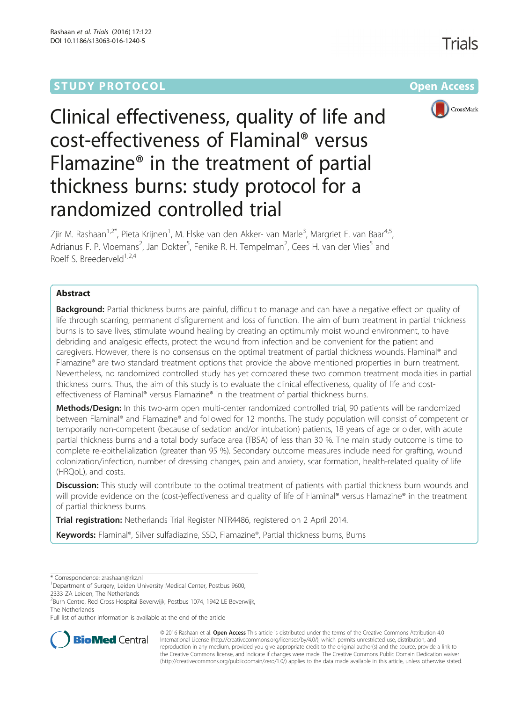# **STUDY PROTOCOL CONSUMING THE RESERVE ACCESS**



Clinical effectiveness, quality of life and cost-effectiveness of Flaminal® versus Flamazine® in the treatment of partial thickness burns: study protocol for a randomized controlled trial

Zjir M. Rashaan<sup>1,2\*</sup>, Pieta Krijnen<sup>1</sup>, M. Elske van den Akker- van Marle<sup>3</sup>, Margriet E. van Baar<sup>4,5</sup>, Adrianus F. P. Vloemans<sup>2</sup>, Jan Dokter<sup>5</sup>, Fenike R. H. Tempelman<sup>2</sup>, Cees H. van der Vlies<sup>5</sup> and Roelf S. Breederveld<sup>1,2,4</sup>

# Abstract

Background: Partial thickness burns are painful, difficult to manage and can have a negative effect on quality of life through scarring, permanent disfigurement and loss of function. The aim of burn treatment in partial thickness burns is to save lives, stimulate wound healing by creating an optimumly moist wound environment, to have debriding and analgesic effects, protect the wound from infection and be convenient for the patient and caregivers. However, there is no consensus on the optimal treatment of partial thickness wounds. Flaminal® and Flamazine® are two standard treatment options that provide the above mentioned properties in burn treatment. Nevertheless, no randomized controlled study has yet compared these two common treatment modalities in partial thickness burns. Thus, the aim of this study is to evaluate the clinical effectiveness, quality of life and costeffectiveness of Flaminal® versus Flamazine® in the treatment of partial thickness burns.

Methods/Design: In this two-arm open multi-center randomized controlled trial, 90 patients will be randomized between Flaminal® and Flamazine® and followed for 12 months. The study population will consist of competent or temporarily non-competent (because of sedation and/or intubation) patients, 18 years of age or older, with acute partial thickness burns and a total body surface area (TBSA) of less than 30 %. The main study outcome is time to complete re-epithelialization (greater than 95 %). Secondary outcome measures include need for grafting, wound colonization/infection, number of dressing changes, pain and anxiety, scar formation, health-related quality of life (HRQoL), and costs.

**Discussion:** This study will contribute to the optimal treatment of patients with partial thickness burn wounds and will provide evidence on the (cost-)effectiveness and quality of life of Flaminal® versus Flamazine® in the treatment of partial thickness burns.

Trial registration: Netherlands Trial Register [NTR4486,](http://www.trialregister.nl/trialreg/admin/rctview.asp?TC=4486) registered on 2 April 2014.

Keywords: Flaminal®, Silver sulfadiazine, SSD, Flamazine®, Partial thickness burns, Burns

<sup>2</sup>Burn Centre, Red Cross Hospital Beverwijk, Postbus 1074, 1942 LE Beverwijk, The Netherlands

Full list of author information is available at the end of the article



© 2016 Rashaan et al. **Open Access** This article is distributed under the terms of the Creative Commons Attribution 4.0 International License [\(http://creativecommons.org/licenses/by/4.0/](http://creativecommons.org/licenses/by/4.0/)), which permits unrestricted use, distribution, and reproduction in any medium, provided you give appropriate credit to the original author(s) and the source, provide a link to the Creative Commons license, and indicate if changes were made. The Creative Commons Public Domain Dedication waiver [\(http://creativecommons.org/publicdomain/zero/1.0/](http://creativecommons.org/publicdomain/zero/1.0/)) applies to the data made available in this article, unless otherwise stated.

<sup>\*</sup> Correspondence: [zrashaan@rkz.nl](mailto:zrashaan@rkz.nl) <sup>1</sup>

<sup>&</sup>lt;sup>1</sup>Department of Surgery, Leiden University Medical Center, Postbus 9600, 2333 ZA Leiden, The Netherlands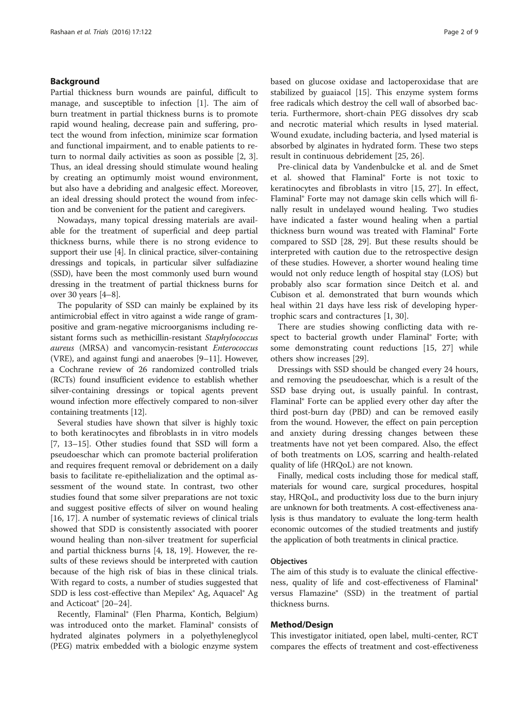# Background

Partial thickness burn wounds are painful, difficult to manage, and susceptible to infection [[1\]](#page-7-0). The aim of burn treatment in partial thickness burns is to promote rapid wound healing, decrease pain and suffering, protect the wound from infection, minimize scar formation and functional impairment, and to enable patients to return to normal daily activities as soon as possible [[2, 3](#page-7-0)]. Thus, an ideal dressing should stimulate wound healing by creating an optimumly moist wound environment, but also have a debriding and analgesic effect. Moreover, an ideal dressing should protect the wound from infection and be convenient for the patient and caregivers.

Nowadays, many topical dressing materials are available for the treatment of superficial and deep partial thickness burns, while there is no strong evidence to support their use [[4](#page-7-0)]. In clinical practice, silver-containing dressings and topicals, in particular silver sulfadiazine (SSD), have been the most commonly used burn wound dressing in the treatment of partial thickness burns for over 30 years [[4](#page-7-0)–[8](#page-7-0)].

The popularity of SSD can mainly be explained by its antimicrobial effect in vitro against a wide range of grampositive and gram-negative microorganisms including resistant forms such as methicillin-resistant Staphylococcus aureus (MRSA) and vancomycin-resistant Enterococcus (VRE), and against fungi and anaerobes [\[9](#page-7-0)–[11\]](#page-7-0). However, a Cochrane review of 26 randomized controlled trials (RCTs) found insufficient evidence to establish whether silver-containing dressings or topical agents prevent wound infection more effectively compared to non-silver containing treatments [\[12\]](#page-7-0).

Several studies have shown that silver is highly toxic to both keratinocytes and fibroblasts in in vitro models [[7, 13](#page-7-0)–[15](#page-7-0)]. Other studies found that SSD will form a pseudoeschar which can promote bacterial proliferation and requires frequent removal or debridement on a daily basis to facilitate re-epithelialization and the optimal assessment of the wound state. In contrast, two other studies found that some silver preparations are not toxic and suggest positive effects of silver on wound healing [[16, 17\]](#page-7-0). A number of systematic reviews of clinical trials showed that SDD is consistently associated with poorer wound healing than non-silver treatment for superficial and partial thickness burns [\[4, 18](#page-7-0), [19](#page-7-0)]. However, the results of these reviews should be interpreted with caution because of the high risk of bias in these clinical trials. With regard to costs, a number of studies suggested that SDD is less cost-effective than Mepilex® Ag, Aquacel® Ag and Acticoat® [[20](#page-7-0)–[24](#page-7-0)].

Recently, Flaminal® (Flen Pharma, Kontich, Belgium) was introduced onto the market. Flaminal® consists of hydrated alginates polymers in a polyethyleneglycol (PEG) matrix embedded with a biologic enzyme system based on glucose oxidase and lactoperoxidase that are stabilized by guaiacol [\[15](#page-7-0)]. This enzyme system forms free radicals which destroy the cell wall of absorbed bacteria. Furthermore, short-chain PEG dissolves dry scab and necrotic material which results in lysed material. Wound exudate, including bacteria, and lysed material is absorbed by alginates in hydrated form. These two steps result in continuous debridement [[25, 26\]](#page-7-0).

Pre-clinical data by Vandenbulcke et al. and de Smet et al. showed that Flaminal® Forte is not toxic to keratinocytes and fibroblasts in vitro [\[15](#page-7-0), [27\]](#page-7-0). In effect, Flaminal® Forte may not damage skin cells which will finally result in undelayed wound healing. Two studies have indicated a faster wound healing when a partial thickness burn wound was treated with Flaminal® Forte compared to SSD [[28, 29\]](#page-7-0). But these results should be interpreted with caution due to the retrospective design of these studies. However, a shorter wound healing time would not only reduce length of hospital stay (LOS) but probably also scar formation since Deitch et al. and Cubison et al. demonstrated that burn wounds which heal within 21 days have less risk of developing hypertrophic scars and contractures [\[1](#page-7-0), [30\]](#page-7-0).

There are studies showing conflicting data with respect to bacterial growth under Flaminal® Forte; with some demonstrating count reductions [[15](#page-7-0), [27\]](#page-7-0) while others show increases [\[29\]](#page-7-0).

Dressings with SSD should be changed every 24 hours, and removing the pseudoeschar, which is a result of the SSD base drying out, is usually painful. In contrast, Flaminal® Forte can be applied every other day after the third post-burn day (PBD) and can be removed easily from the wound. However, the effect on pain perception and anxiety during dressing changes between these treatments have not yet been compared. Also, the effect of both treatments on LOS, scarring and health-related quality of life (HRQoL) are not known.

Finally, medical costs including those for medical staff, materials for wound care, surgical procedures, hospital stay, HRQoL, and productivity loss due to the burn injury are unknown for both treatments. A cost-effectiveness analysis is thus mandatory to evaluate the long-term health economic outcomes of the studied treatments and justify the application of both treatments in clinical practice.

# **Objectives**

The aim of this study is to evaluate the clinical effectiveness, quality of life and cost-effectiveness of Flaminal® versus Flamazine® (SSD) in the treatment of partial thickness burns.

### Method/Design

This investigator initiated, open label, multi-center, RCT compares the effects of treatment and cost-effectiveness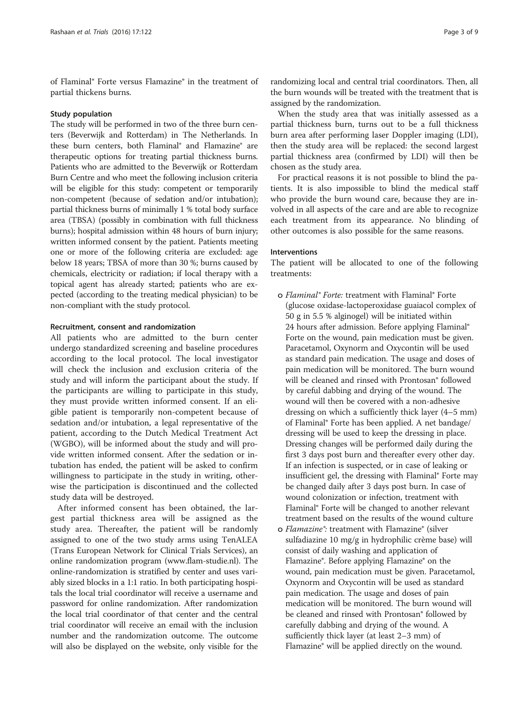of Flaminal® Forte versus Flamazine® in the treatment of partial thickens burns.

#### Study population

The study will be performed in two of the three burn centers (Beverwijk and Rotterdam) in The Netherlands. In these burn centers, both Flaminal® and Flamazine® are therapeutic options for treating partial thickness burns. Patients who are admitted to the Beverwijk or Rotterdam Burn Centre and who meet the following inclusion criteria will be eligible for this study: competent or temporarily non-competent (because of sedation and/or intubation); partial thickness burns of minimally 1 % total body surface area (TBSA) (possibly in combination with full thickness burns); hospital admission within 48 hours of burn injury; written informed consent by the patient. Patients meeting one or more of the following criteria are excluded: age below 18 years; TBSA of more than 30 %; burns caused by chemicals, electricity or radiation; if local therapy with a topical agent has already started; patients who are expected (according to the treating medical physician) to be non-compliant with the study protocol.

#### Recruitment, consent and randomization

All patients who are admitted to the burn center undergo standardized screening and baseline procedures according to the local protocol. The local investigator will check the inclusion and exclusion criteria of the study and will inform the participant about the study. If the participants are willing to participate in this study, they must provide written informed consent. If an eligible patient is temporarily non-competent because of sedation and/or intubation, a legal representative of the patient, according to the Dutch Medical Treatment Act (WGBO), will be informed about the study and will provide written informed consent. After the sedation or intubation has ended, the patient will be asked to confirm willingness to participate in the study in writing, otherwise the participation is discontinued and the collected study data will be destroyed.

After informed consent has been obtained, the largest partial thickness area will be assigned as the study area. Thereafter, the patient will be randomly assigned to one of the two study arms using TenALEA (Trans European Network for Clinical Trials Services), an online randomization program ([www.flam-studie.nl\)](http://www.flam-studie.nl). The online-randomization is stratified by center and uses variably sized blocks in a 1:1 ratio. In both participating hospitals the local trial coordinator will receive a username and password for online randomization. After randomization the local trial coordinator of that center and the central trial coordinator will receive an email with the inclusion number and the randomization outcome. The outcome will also be displayed on the website, only visible for the

randomizing local and central trial coordinators. Then, all the burn wounds will be treated with the treatment that is assigned by the randomization.

When the study area that was initially assessed as a partial thickness burn, turns out to be a full thickness burn area after performing laser Doppler imaging (LDI), then the study area will be replaced: the second largest partial thickness area (confirmed by LDI) will then be chosen as the study area.

For practical reasons it is not possible to blind the patients. It is also impossible to blind the medical staff who provide the burn wound care, because they are involved in all aspects of the care and are able to recognize each treatment from its appearance. No blinding of other outcomes is also possible for the same reasons.

#### Interventions

The patient will be allocated to one of the following treatments:

- o Flaminal® Forte: treatment with Flaminal® Forte (glucose oxidase-lactoperoxidase guaiacol complex of 50 g in 5.5 % alginogel) will be initiated within 24 hours after admission. Before applying Flaminal® Forte on the wound, pain medication must be given. Paracetamol, Oxynorm and Oxycontin will be used as standard pain medication. The usage and doses of pain medication will be monitored. The burn wound will be cleaned and rinsed with Prontosan® followed by careful dabbing and drying of the wound. The wound will then be covered with a non-adhesive dressing on which a sufficiently thick layer (4–5 mm) of Flaminal® Forte has been applied. A net bandage/ dressing will be used to keep the dressing in place. Dressing changes will be performed daily during the first 3 days post burn and thereafter every other day. If an infection is suspected, or in case of leaking or insufficient gel, the dressing with Flaminal® Forte may be changed daily after 3 days post burn. In case of wound colonization or infection, treatment with Flaminal® Forte will be changed to another relevant treatment based on the results of the wound culture
- o Flamazine®: treatment with Flamazine® (silver sulfadiazine 10 mg/g in hydrophilic crème base) will consist of daily washing and application of Flamazine®. Before applying Flamazine® on the wound, pain medication must be given. Paracetamol, Oxynorm and Oxycontin will be used as standard pain medication. The usage and doses of pain medication will be monitored. The burn wound will be cleaned and rinsed with Prontosan® followed by carefully dabbing and drying of the wound. A sufficiently thick layer (at least 2–3 mm) of Flamazine® will be applied directly on the wound.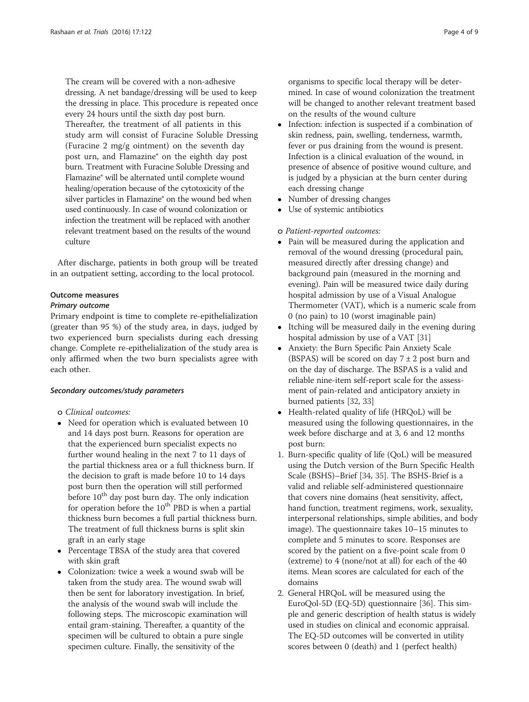The cream will be covered with a non-adhesive dressing. A net bandage/dressing will be used to keep the dressing in place. This procedure is repeated once every 24 hours until the sixth day post burn. Thereafter, the treatment of all patients in this study arm will consist of Furacine Soluble Dressing (Furacine 2 mg/g ointment) on the seventh day post urn, and Flamazine® on the eighth day post burn. Treatment with Furacine Soluble Dressing and Flamazine® will be alternated until complete wound healing/operation because of the cytotoxicity of the silver particles in Flamazine® on the wound bed when used continuously. In case of wound colonization or infection the treatment will be replaced with another relevant treatment based on the results of the wound culture

After discharge, patients in both group will be treated in an outpatient setting, according to the local protocol.

# Outcome measures

# Primary outcome

Primary endpoint is time to complete re-epithelialization (greater than 95 %) of the study area, in days, judged by two experienced burn specialists during each dressing change. Complete re-epithelialization of the study area is only affirmed when the two burn specialists agree with each other.

# Secondary outcomes/study parameters

o Clinical outcomes:

- Need for operation which is evaluated between 10 and 14 days post burn. Reasons for operation are that the experienced burn specialist expects no further wound healing in the next 7 to 11 days of the partial thickness area or a full thickness burn. If the decision to graft is made before 10 to 14 days post burn then the operation will still performed before  $10^{th}$  day post burn day. The only indication for operation before the  $10<sup>th</sup>$  PBD is when a partial thickness burn becomes a full partial thickness burn. The treatment of full thickness burns is split skin graft in an early stage
- Percentage TBSA of the study area that covered with skin graft
- Colonization: twice a week a wound swab will be taken from the study area. The wound swab will then be sent for laboratory investigation. In brief, the analysis of the wound swab will include the following steps. The microscopic examination will entail gram-staining. Thereafter, a quantity of the specimen will be cultured to obtain a pure single specimen culture. Finally, the sensitivity of the

organisms to specific local therapy will be determined. In case of wound colonization the treatment will be changed to another relevant treatment based on the results of the wound culture

- Infection: infection is suspected if a combination of skin redness, pain, swelling, tenderness, warmth, fever or pus draining from the wound is present. Infection is a clinical evaluation of the wound, in presence of absence of positive wound culture, and is judged by a physician at the burn center during each dressing change
- Number of dressing changes
- Use of systemic antibiotics

# o Patient-reported outcomes:

- Pain will be measured during the application and removal of the wound dressing (procedural pain, measured directly after dressing change) and background pain (measured in the morning and evening). Pain will be measured twice daily during hospital admission by use of a Visual Analogue Thermometer (VAT), which is a numeric scale from 0 (no pain) to 10 (worst imaginable pain)
- Itching will be measured daily in the evening during hospital admission by use of a VAT [[31](#page-7-0)]
- Anxiety: the Burn Specific Pain Anxiety Scale (BSPAS) will be scored on day  $7 \pm 2$  post burn and on the day of discharge. The BSPAS is a valid and reliable nine-item self-report scale for the assessment of pain-related and anticipatory anxiety in burned patients [[32,](#page-7-0) [33](#page-7-0)]
- Health-related quality of life (HRQoL) will be measured using the following questionnaires, in the week before discharge and at 3, 6 and 12 months post burn:
- 1. Burn-specific quality of life (QoL) will be measured using the Dutch version of the Burn Specific Health Scale (BSHS)–Brief [[34,](#page-7-0) [35](#page-7-0)]. The BSHS-Brief is a valid and reliable self-administered questionnaire that covers nine domains (heat sensitivity, affect, hand function, treatment regimens, work, sexuality, interpersonal relationships, simple abilities, and body image). The questionnaire takes 10–15 minutes to complete and 5 minutes to score. Responses are scored by the patient on a five-point scale from 0 (extreme) to 4 (none/not at all) for each of the 40 items. Mean scores are calculated for each of the domains
- 2. General HRQoL will be measured using the EuroQol-5D (EQ-5D) questionnaire [\[36\]](#page-7-0). This simple and generic description of health status is widely used in studies on clinical and economic appraisal. The EQ-5D outcomes will be converted in utility scores between 0 (death) and 1 (perfect health)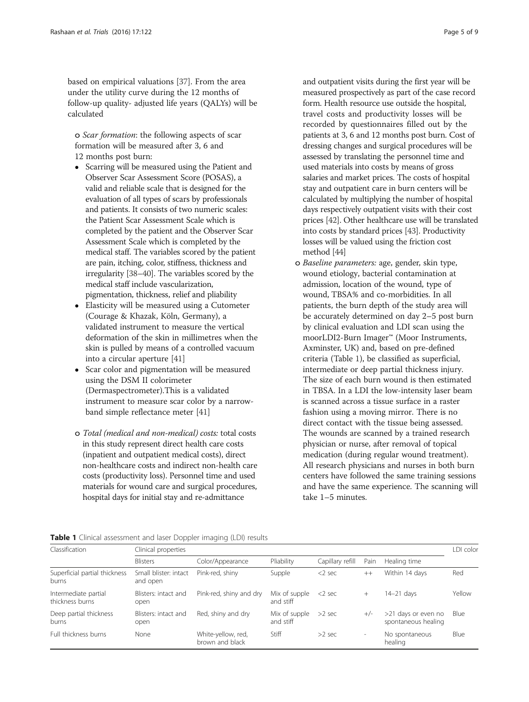based on empirical valuations [[37](#page-7-0)]. From the area under the utility curve during the 12 months of follow-up quality- adjusted life years (QALYs) will be calculated

o Scar formation: the following aspects of scar formation will be measured after 3, 6 and 12 months post burn:

- Scarring will be measured using the Patient and Observer Scar Assessment Score (POSAS), a valid and reliable scale that is designed for the evaluation of all types of scars by professionals and patients. It consists of two numeric scales: the Patient Scar Assessment Scale which is completed by the patient and the Observer Scar Assessment Scale which is completed by the medical staff. The variables scored by the patient are pain, itching, color, stiffness, thickness and irregularity [\[38](#page-7-0)–[40](#page-7-0)]. The variables scored by the medical staff include vascularization, pigmentation, thickness, relief and pliability
- Elasticity will be measured using a Cutometer (Courage & Khazak, Köln, Germany), a validated instrument to measure the vertical deformation of the skin in millimetres when the skin is pulled by means of a controlled vacuum into a circular aperture [[41](#page-8-0)]
- Scar color and pigmentation will be measured using the DSM II colorimeter (Dermaspectrometer).This is a validated instrument to measure scar color by a narrowband simple reflectance meter [\[41\]](#page-8-0)
- o Total (medical and non-medical) costs: total costs in this study represent direct health care costs (inpatient and outpatient medical costs), direct non-healthcare costs and indirect non-health care costs (productivity loss). Personnel time and used materials for wound care and surgical procedures, hospital days for initial stay and re-admittance

and outpatient visits during the first year will be measured prospectively as part of the case record form. Health resource use outside the hospital, travel costs and productivity losses will be recorded by questionnaires filled out by the patients at 3, 6 and 12 months post burn. Cost of dressing changes and surgical procedures will be assessed by translating the personnel time and used materials into costs by means of gross salaries and market prices. The costs of hospital stay and outpatient care in burn centers will be calculated by multiplying the number of hospital days respectively outpatient visits with their cost prices [[42](#page-8-0)]. Other healthcare use will be translated into costs by standard prices [[43](#page-8-0)]. Productivity losses will be valued using the friction cost method [\[44\]](#page-8-0)

o Baseline parameters: age, gender, skin type, wound etiology, bacterial contamination at admission, location of the wound, type of wound, TBSA% and co-morbidities. In all patients, the burn depth of the study area will be accurately determined on day 2–5 post burn by clinical evaluation and LDI scan using the moorLDI2-Burn Imager™ (Moor Instruments, Axminster, UK) and, based on pre-defined criteria (Table 1), be classified as superficial, intermediate or deep partial thickness injury. The size of each burn wound is then estimated in TBSA. In a LDI the low-intensity laser beam is scanned across a tissue surface in a raster fashion using a moving mirror. There is no direct contact with the tissue being assessed. The wounds are scanned by a trained research physician or nurse, after removal of topical medication (during regular wound treatment). All research physicians and nurses in both burn centers have followed the same training sessions and have the same experience. The scanning will take 1–5 minutes.

|  |  |  | Table 1 Clinical assessment and laser Doppler imaging (LDI) results |  |  |  |  |  |  |  |
|--|--|--|---------------------------------------------------------------------|--|--|--|--|--|--|--|
|--|--|--|---------------------------------------------------------------------|--|--|--|--|--|--|--|

| Classification                          | Clinical properties               |                                       |                            |                  |                          |                                            |        |  |  |
|-----------------------------------------|-----------------------------------|---------------------------------------|----------------------------|------------------|--------------------------|--------------------------------------------|--------|--|--|
|                                         | <b>Blisters</b>                   | Color/Appearance                      | Pliability                 | Capillary refill | Pain                     | Healing time                               |        |  |  |
| Superficial partial thickness<br>burns  | Small blister: intact<br>and open | Pink-red, shiny                       | Supple                     | $<$ ? sec        | $++$                     | Within 14 days                             | Red    |  |  |
| Intermediate partial<br>thickness burns | Blisters: intact and<br>open      | Pink-red, shiny and dry               | Mix of supple<br>and stiff | $<$ ? sec        | $+$                      | $14-21$ days                               | Yellow |  |  |
| Deep partial thickness<br>burns         | Blisters: intact and<br>open      | Red, shiny and dry                    | Mix of supple<br>and stiff | $>2$ sec         | $+/-$                    | >21 days or even no<br>spontaneous healing | Blue   |  |  |
| Full thickness burns                    | None                              | White-yellow, red,<br>brown and black | Stiff                      | $>2$ sec         | $\overline{\phantom{a}}$ | No spontaneous<br>healing                  | Blue   |  |  |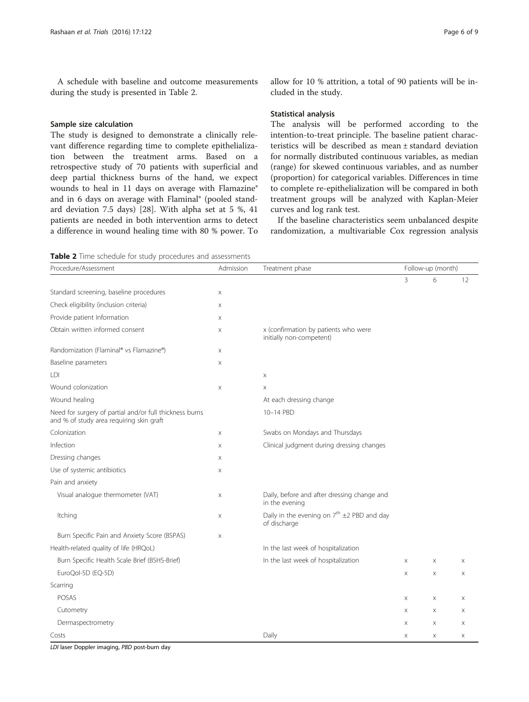A schedule with baseline and outcome measurements during the study is presented in Table 2.

# Sample size calculation

The study is designed to demonstrate a clinically relevant difference regarding time to complete epithelialization between the treatment arms. Based on a retrospective study of 70 patients with superficial and deep partial thickness burns of the hand, we expect wounds to heal in 11 days on average with Flamazine® and in 6 days on average with Flaminal® (pooled standard deviation 7.5 days) [\[28](#page-7-0)]. With alpha set at 5 %, 41 patients are needed in both intervention arms to detect a difference in wound healing time with 80 % power. To allow for 10 % attrition, a total of 90 patients will be included in the study.

#### Statistical analysis

The analysis will be performed according to the intention-to-treat principle. The baseline patient characteristics will be described as mean ± standard deviation for normally distributed continuous variables, as median (range) for skewed continuous variables, and as number (proportion) for categorical variables. Differences in time to complete re-epithelialization will be compared in both treatment groups will be analyzed with Kaplan-Meier curves and log rank test.

If the baseline characteristics seem unbalanced despite randomization, a multivariable Cox regression analysis

Table 2 Time schedule for study procedures and assessments

| Procedure/Assessment                                                                                | Admission                 | Treatment phase                                                  | Follow-up (month)     |                       |                       |  |
|-----------------------------------------------------------------------------------------------------|---------------------------|------------------------------------------------------------------|-----------------------|-----------------------|-----------------------|--|
|                                                                                                     |                           |                                                                  | 3                     | 6                     | 12                    |  |
| Standard screening, baseline procedures                                                             | $\times$                  |                                                                  |                       |                       |                       |  |
| Check eligibility (inclusion criteria)                                                              | $\times$                  |                                                                  |                       |                       |                       |  |
| Provide patient Information                                                                         | $\boldsymbol{\mathsf{X}}$ |                                                                  |                       |                       |                       |  |
| Obtain written informed consent                                                                     | X                         | x (confirmation by patients who were<br>initially non-competent) |                       |                       |                       |  |
| Randomization (Flaminal® vs Flamazine®)                                                             | X                         |                                                                  |                       |                       |                       |  |
| Baseline parameters                                                                                 | $\times$                  |                                                                  |                       |                       |                       |  |
| LDI                                                                                                 |                           | $\boldsymbol{\times}$                                            |                       |                       |                       |  |
| Wound colonization                                                                                  | $\times$                  | $\boldsymbol{\times}$                                            |                       |                       |                       |  |
| Wound healing                                                                                       |                           | At each dressing change                                          |                       |                       |                       |  |
| Need for surgery of partial and/or full thickness burns<br>and % of study area requiring skin graft |                           | 10-14 PBD                                                        |                       |                       |                       |  |
| Colonization                                                                                        | $\boldsymbol{\mathsf{X}}$ | Swabs on Mondays and Thursdays                                   |                       |                       |                       |  |
| Infection                                                                                           | X                         | Clinical judgment during dressing changes                        |                       |                       |                       |  |
| Dressing changes                                                                                    | X                         |                                                                  |                       |                       |                       |  |
| Use of systemic antibiotics                                                                         | X                         |                                                                  |                       |                       |                       |  |
| Pain and anxiety                                                                                    |                           |                                                                  |                       |                       |                       |  |
| Visual analogue thermometer (VAT)                                                                   | $\times$                  | Daily, before and after dressing change and<br>in the evening    |                       |                       |                       |  |
| Itching                                                                                             | $\times$                  | Daily in the evening on $7th \pm 2$ PBD and day<br>of discharge  |                       |                       |                       |  |
| Burn Specific Pain and Anxiety Score (BSPAS)                                                        | $\times$                  |                                                                  |                       |                       |                       |  |
| Health-related quality of life (HRQoL)                                                              |                           | In the last week of hospitalization                              |                       |                       |                       |  |
| Burn Specific Health Scale Brief (BSHS-Brief)                                                       |                           | In the last week of hospitalization                              | X                     | X                     | X                     |  |
| EuroQol-5D (EQ-5D)                                                                                  |                           |                                                                  | X                     | $\times$              | X                     |  |
| Scarring                                                                                            |                           |                                                                  |                       |                       |                       |  |
| POSAS                                                                                               |                           |                                                                  | X                     | $\boldsymbol{\times}$ | X                     |  |
| Cutometry                                                                                           |                           |                                                                  | $\boldsymbol{\times}$ | X                     | $\boldsymbol{\times}$ |  |
| Dermaspectrometry                                                                                   |                           |                                                                  | X                     | X                     | X                     |  |
| Costs                                                                                               |                           | Daily                                                            | X                     | X                     | X                     |  |

LDI laser Doppler imaging, PBD post-burn day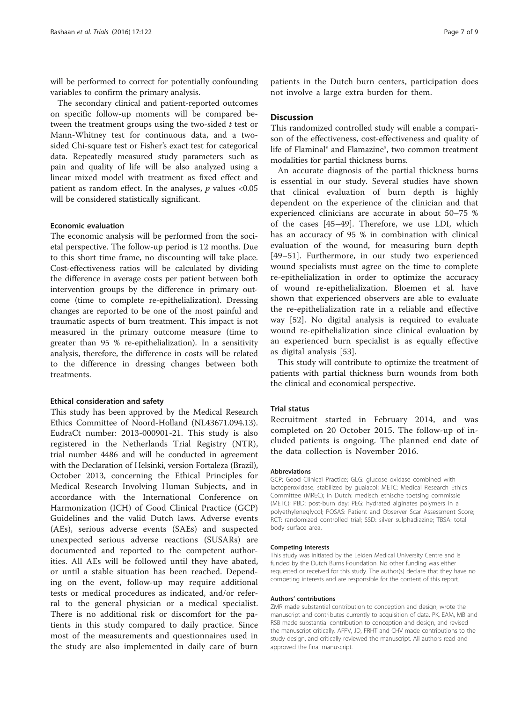will be performed to correct for potentially confounding variables to confirm the primary analysis.

The secondary clinical and patient-reported outcomes on specific follow-up moments will be compared between the treatment groups using the two-sided  $t$  test or Mann-Whitney test for continuous data, and a twosided Chi-square test or Fisher's exact test for categorical data. Repeatedly measured study parameters such as pain and quality of life will be also analyzed using a linear mixed model with treatment as fixed effect and patient as random effect. In the analyses,  $p$  values <0.05 will be considered statistically significant.

#### Economic evaluation

The economic analysis will be performed from the societal perspective. The follow-up period is 12 months. Due to this short time frame, no discounting will take place. Cost-effectiveness ratios will be calculated by dividing the difference in average costs per patient between both intervention groups by the difference in primary outcome (time to complete re-epithelialization). Dressing changes are reported to be one of the most painful and traumatic aspects of burn treatment. This impact is not measured in the primary outcome measure (time to greater than 95 % re-epithelialization). In a sensitivity analysis, therefore, the difference in costs will be related to the difference in dressing changes between both treatments.

#### Ethical consideration and safety

This study has been approved by the Medical Research Ethics Committee of Noord-Holland (NL43671.094.13). EudraCt number: 2013-000901-21. This study is also registered in the Netherlands Trial Registry (NTR), trial number 4486 and will be conducted in agreement with the Declaration of Helsinki, version Fortaleza (Brazil), October 2013, concerning the Ethical Principles for Medical Research Involving Human Subjects, and in accordance with the International Conference on Harmonization (ICH) of Good Clinical Practice (GCP) Guidelines and the valid Dutch laws. Adverse events (AEs), serious adverse events (SAEs) and suspected unexpected serious adverse reactions (SUSARs) are documented and reported to the competent authorities. All AEs will be followed until they have abated, or until a stable situation has been reached. Depending on the event, follow-up may require additional tests or medical procedures as indicated, and/or referral to the general physician or a medical specialist. There is no additional risk or discomfort for the patients in this study compared to daily practice. Since most of the measurements and questionnaires used in the study are also implemented in daily care of burn

patients in the Dutch burn centers, participation does not involve a large extra burden for them.

# **Discussion**

This randomized controlled study will enable a comparison of the effectiveness, cost-effectiveness and quality of life of Flaminal® and Flamazine®, two common treatment modalities for partial thickness burns.

An accurate diagnosis of the partial thickness burns is essential in our study. Several studies have shown that clinical evaluation of burn depth is highly dependent on the experience of the clinician and that experienced clinicians are accurate in about 50–75 % of the cases [\[45](#page-8-0)–[49](#page-8-0)]. Therefore, we use LDI, which has an accuracy of 95 % in combination with clinical evaluation of the wound, for measuring burn depth [[49](#page-8-0)–[51](#page-8-0)]. Furthermore, in our study two experienced wound specialists must agree on the time to complete re-epithelialization in order to optimize the accuracy of wound re-epithelialization. Bloemen et al. have shown that experienced observers are able to evaluate the re-epithelialization rate in a reliable and effective way [\[52](#page-8-0)]. No digital analysis is required to evaluate wound re-epithelialization since clinical evaluation by an experienced burn specialist is as equally effective as digital analysis [[53\]](#page-8-0).

This study will contribute to optimize the treatment of patients with partial thickness burn wounds from both the clinical and economical perspective.

#### Trial status

Recruitment started in February 2014, and was completed on 20 October 2015. The follow-up of included patients is ongoing. The planned end date of the data collection is November 2016.

#### Abbreviations

GCP: Good Clinical Practice; GLG: glucose oxidase combined with lactoperoxidase, stabilized by guaiacol; METC: Medical Research Ethics Committee (MREC); in Dutch: medisch ethische toetsing commissie (METC); PBD: post-burn day; PEG: hydrated alginates polymers in a polyethyleneglycol; POSAS: Patient and Observer Scar Assessment Score; RCT: randomized controlled trial; SSD: silver sulphadiazine; TBSA: total body surface area.

#### Competing interests

This study was initiated by the Leiden Medical University Centre and is funded by the Dutch Burns Foundation. No other funding was either requested or received for this study. The author(s) declare that they have no competing interests and are responsible for the content of this report.

#### Authors' contributions

ZMR made substantial contribution to conception and design, wrote the manuscript and contributes currently to acquisition of data. PK, EAM, MB and RSB made substantial contribution to conception and design, and revised the manuscript critically. AFPV, JD, FRHT and CHV made contributions to the study design, and critically reviewed the manuscript. All authors read and approved the final manuscript.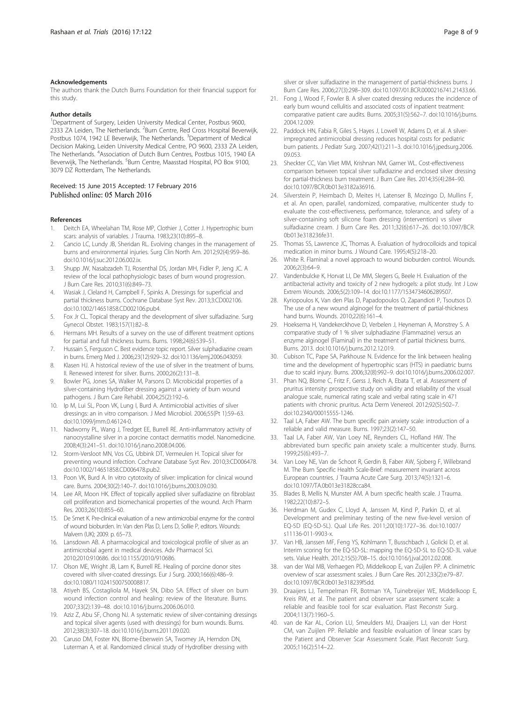#### <span id="page-7-0"></span>Acknowledgements

The authors thank the Dutch Burns Foundation for their financial support for this study.

#### Author details

<sup>1</sup>Department of Surgery, Leiden University Medical Center, Postbus 9600, 2333 ZA Leiden, The Netherlands. <sup>2</sup>Burn Centre, Red Cross Hospital Beverwijk, Postbus 1074, 1942 LE Beverwijk, The Netherlands. <sup>3</sup>Department of Medical Decision Making, Leiden University Medical Centre, PO 9600, 2333 ZA Leiden, The Netherlands. <sup>4</sup>Association of Dutch Burn Centres, Postbus 1015, 1940 EA Beverwijk, The Netherlands. <sup>5</sup>Burn Centre, Maasstad Hospital, PO Box 9100, 3079 DZ Rotterdam, The Netherlands.

#### Received: 15 June 2015 Accepted: 17 February 2016 Published online: 05 March 2016

#### References

- Deitch EA, Wheelahan TM, Rose MP, Clothier J, Cotter J. Hypertrophic burn scars: analysis of variables. J Trauma. 1983;23(10):895–8.
- 2. Cancio LC, Lundy JB, Sheridan RL. Evolving changes in the management of burns and environmental injuries. Surg Clin North Am. 2012;92(4):959–86. doi[:10.1016/j.suc.2012.06.002.ix](http://dx.doi.org/10.1016/j.suc.2012.06.002.ix).
- 3. Shupp JW, Nasabzadeh TJ, Rosenthal DS, Jordan MH, Fidler P, Jeng JC. A review of the local pathophysiologic bases of burn wound progression. J Burn Care Res. 2010;31(6):849–73.
- 4. Wasiak J, Cleland H, Campbell F, Spinks A. Dressings for superficial and partial thickness burns. Cochrane Database Syst Rev. 2013;3:CD002106. doi[:10.1002/14651858.CD002106.pub4.](http://dx.doi.org/10.1002/14651858.CD002106.pub4)
- 5. Fox Jr CL. Topical therapy and the development of silver sulfadiazine. Surg Gynecol Obstet. 1983;157(1):82–8.
- 6. Hermans MH. Results of a survey on the use of different treatment options for partial and full thickness burns. Burns. 1998;24(6):539–51.
- 7. Hussain S, Ferguson C. Best evidence topic report. Silver sulphadiazine cream in burns. Emerg Med J. 2006;23(12):929–32. doi[:10.1136/emj.2006.043059.](http://dx.doi.org/10.1136/emj.2006.043059)
- 8. Klasen HJ. A historical review of the use of silver in the treatment of burns. II. Renewed interest for silver. Burns. 2000;26(2):131–8.
- 9. Bowler PG, Jones SA, Walker M, Parsons D. Microbicidal properties of a silver-containing Hydrofiber dressing against a variety of burn wound pathogens. J Burn Care Rehabil. 2004;25(2):192–6.
- 10. Ip M, Lui SL, Poon VK, Lung I, Burd A. Antimicrobial activities of silver dressings: an in vitro comparison. J Med Microbiol. 2006;55(Pt 1):59–63. doi[:10.1099/jmm.0.46124-0.](http://dx.doi.org/10.1099/jmm.0.46124-0)
- 11. Nadworny PL, Wang J, Tredget EE, Burrell RE. Anti-inflammatory activity of nanocrystalline silver in a porcine contact dermatitis model. Nanomedicine. 2008;4(3):241–51. doi[:10.1016/j.nano.2008.04.006](http://dx.doi.org/10.1016/j.nano.2008.04.006).
- 12. Storm-Versloot MN, Vos CG, Ubbink DT, Vermeulen H. Topical silver for preventing wound infection. Cochrane Database Syst Rev. 2010;3:CD006478. doi[:10.1002/14651858.CD006478.pub2.](http://dx.doi.org/10.1002/14651858.CD006478.pub2)
- 13. Poon VK, Burd A. In vitro cytotoxity of silver: implication for clinical wound care. Burns. 2004;30(2):140–7. doi:[10.1016/j.burns.2003.09.030.](http://dx.doi.org/10.1016/j.burns.2003.09.030)
- 14. Lee AR, Moon HK. Effect of topically applied silver sulfadiazine on fibroblast cell proliferation and biomechanical properties of the wound. Arch Pharm Res. 2003;26(10):855–60.
- 15. De Smet K. Pre-clinical evaluation of a new antimicrobial enzyme for the control of wound bioburden. In: Van den Plas D, Lens D, Sollie P, editors. Wounds: Malvern (UK); 2009. p. 65–73.
- 16. Lansdown AB. A pharmacological and toxicological profile of silver as an antimicrobial agent in medical devices. Adv Pharmacol Sci. 2010;2010:910686. doi[:10.1155/2010/910686](http://dx.doi.org/10.1155/2010/910686).
- 17. Olson ME, Wright JB, Lam K, Burrell RE. Healing of porcine donor sites covered with silver-coated dressings. Eur J Surg. 2000;166(6):486–9. doi[:10.1080/110241500750008817.](http://dx.doi.org/10.1080/110241500750008817)
- 18. Atiyeh BS, Costagliola M, Hayek SN, Dibo SA. Effect of silver on burn wound infection control and healing: review of the literature. Burns. 2007;33(2):139–48. doi:[10.1016/j.burns.2006.06.010](http://dx.doi.org/10.1016/j.burns.2006.06.010).
- 19. Aziz Z, Abu SF, Chong NJ. A systematic review of silver-containing dressings and topical silver agents (used with dressings) for burn wounds. Burns. 2012;38(3):307–18. doi:[10.1016/j.burns.2011.09.020.](http://dx.doi.org/10.1016/j.burns.2011.09.020)
- 20. Caruso DM, Foster KN, Blome-Eberwein SA, Twomey JA, Herndon DN, Luterman A, et al. Randomized clinical study of Hydrofiber dressing with

silver or silver sulfadiazine in the management of partial-thickness burns. J Burn Care Res. 2006;27(3):298–309. doi[:10.1097/01.BCR.0000216741.21433.66](http://dx.doi.org/10.1097/01.BCR.0000216741.21433.66).

- 21. Fong J, Wood F, Fowler B, A silver coated dressing reduces the incidence of early burn wound cellulitis and associated costs of inpatient treatment: comparative patient care audits. Burns. 2005;31(5):562–7. doi[:10.1016/j.burns.](http://dx.doi.org/10.1016/j.burns.2004.12.009) [2004.12.009.](http://dx.doi.org/10.1016/j.burns.2004.12.009)
- 22. Paddock HN, Fabia R, Giles S, Hayes J, Lowell W, Adams D, et al. A silverimpregnated antimicrobial dressing reduces hospital costs for pediatric burn patients. J Pediatr Surg. 2007;42(1):211–3. doi:[10.1016/j.jpedsurg.2006.](http://dx.doi.org/10.1016/j.jpedsurg.2006.09.053) [09.053.](http://dx.doi.org/10.1016/j.jpedsurg.2006.09.053)
- 23. Sheckter CC, Van Vliet MM, Krishnan NM, Garner WL. Cost-effectiveness comparison between topical silver sulfadiazine and enclosed silver dressing for partial-thickness burn treatment. J Burn Care Res. 2014;35(4):284–90. doi[:10.1097/BCR.0b013e3182a36916](http://dx.doi.org/10.1097/BCR.0b013e3182a36916).
- 24. Silverstein P, Heimbach D, Meites H, Latenser B, Mozingo D, Mullins F, et al. An open, parallel, randomized, comparative, multicenter study to evaluate the cost-effectiveness, performance, tolerance, and safety of a silver-containing soft silicone foam dressing (intervention) vs silver sulfadiazine cream. J Burn Care Res. 2011;32(6):617–26. doi[:10.1097/BCR.](http://dx.doi.org/10.1097/BCR.0b013e318236fe31) [0b013e318236fe31.](http://dx.doi.org/10.1097/BCR.0b013e318236fe31)
- 25. Thomas SS, Lawrence JC, Thomas A. Evaluation of hydrocolloids and topical medication in minor burns. J Wound Care. 1995;4(5):218–20.
- 26. White R. Flaminal: a novel approach to wound bioburden control. Wounds. 2006;2(3):64–9.
- 27. Vandenbulcke K, Horvat LI, De MM, Slegers G, Beele H. Evaluation of the antibacterial activity and toxicity of 2 new hydrogels: a pilot study. Int J Low Extrem Wounds. 2006;5(2):109–14. doi[:10.1177/1534734606289507.](http://dx.doi.org/10.1177/1534734606289507)
- 28. Kyriopoulos K, Van den Plas D, Papadopoulos O, Zapandioti P, Tsoutsos D. The use of a new wound alginogel for the treatment of partial-thickness hand burns. Wounds. 2010;22(6):161–4.
- 29. Hoeksema H, Vandekerckhove D, Verbelen J, Heyneman A, Monstrey S. A comparative study of 1 % silver sulphadiazine (Flammazine) versus an enzyme alginogel (Flaminal) in the treatment of partial thickness burns. Burns. 2013. doi[:10.1016/j.burns.2012.12.019](http://dx.doi.org/10.1016/j.burns.2012.12.019).
- 30. Cubison TC, Pape SA, Parkhouse N. Evidence for the link between healing time and the development of hypertrophic scars (HTS) in paediatric burns due to scald injury. Burns. 2006;32(8):992–9. doi[:10.1016/j.burns.2006.02.007](http://dx.doi.org/10.1016/j.burns.2006.02.007).
- 31. Phan NQ, Blome C, Fritz F, Gerss J, Reich A, Ebata T, et al. Assessment of pruritus intensity: prospective study on validity and reliability of the visual analogue scale, numerical rating scale and verbal rating scale in 471 patients with chronic pruritus. Acta Derm Venereol. 2012;92(5):502–7. doi[:10.2340/00015555-1246](http://dx.doi.org/10.2340/00015555-1246).
- 32. Taal LA, Faber AW. The burn specific pain anxiety scale: introduction of a reliable and valid measure. Burns. 1997;23(2):147–50.
- 33. Taal LA, Faber AW, Van Loey NE, Reynders CL, Hofland HW. The abbreviated burn specific pain anxiety scale: a multicenter study. Burns. 1999;25(6):493–7.
- 34. Van Loey NE, Van de Schoot R, Gerdin B, Faber AW, Sjoberg F, Willebrand M. The Burn Specific Health Scale-Brief: measurement invariant across European countries. J Trauma Acute Care Surg. 2013;74(5):1321–6. doi[:10.1097/TA.0b013e31828cca84.](http://dx.doi.org/10.1097/TA.0b013e31828cca84)
- 35. Blades B, Mellis N, Munster AM. A burn specific health scale. J Trauma. 1982;22(10):872–5.
- 36. Herdman M, Gudex C, Lloyd A, Janssen M, Kind P, Parkin D, et al. Development and preliminary testing of the new five-level version of EQ-5D (EQ-5D-5L). Qual Life Res. 2011;20(10):1727–36. doi:[10.1007/](http://dx.doi.org/10.1007/s11136-011-9903-x) [s11136-011-9903-x](http://dx.doi.org/10.1007/s11136-011-9903-x).
- 37. Van HB, Janssen MF, Feng YS, Kohlmann T, Busschbach J, Golicki D, et al. Interim scoring for the EQ-5D-5L: mapping the EQ-5D-5L to EQ-5D-3L value sets. Value Health. 2012;15(5):708–15. doi[:10.1016/j.jval.2012.02.008.](http://dx.doi.org/10.1016/j.jval.2012.02.008)
- 38. van der Wal MB, Verhaegen PD, Middelkoop E, van Zuijlen PP. A clinimetric overview of scar assessment scales. J Burn Care Res. 2012;33(2):e79–87. doi[:10.1097/BCR.0b013e318239f5dd.](http://dx.doi.org/10.1097/BCR.0b013e318239f5dd)
- 39. Draaijers LJ, Tempelman FR, Botman YA, Tuinebreijer WE, Middelkoop E, Kreis RW, et al. The patient and observer scar assessment scale: a reliable and feasible tool for scar evaluation. Plast Reconstr Surg. 2004;113(7):1960–5.
- 40. van de Kar AL, Corion LU, Smeulders MJ, Draaijers LJ, van der Horst CM, van Zuijlen PP. Reliable and feasible evaluation of linear scars by the Patient and Observer Scar Assessment Scale. Plast Reconstr Surg. 2005;116(2):514–22.